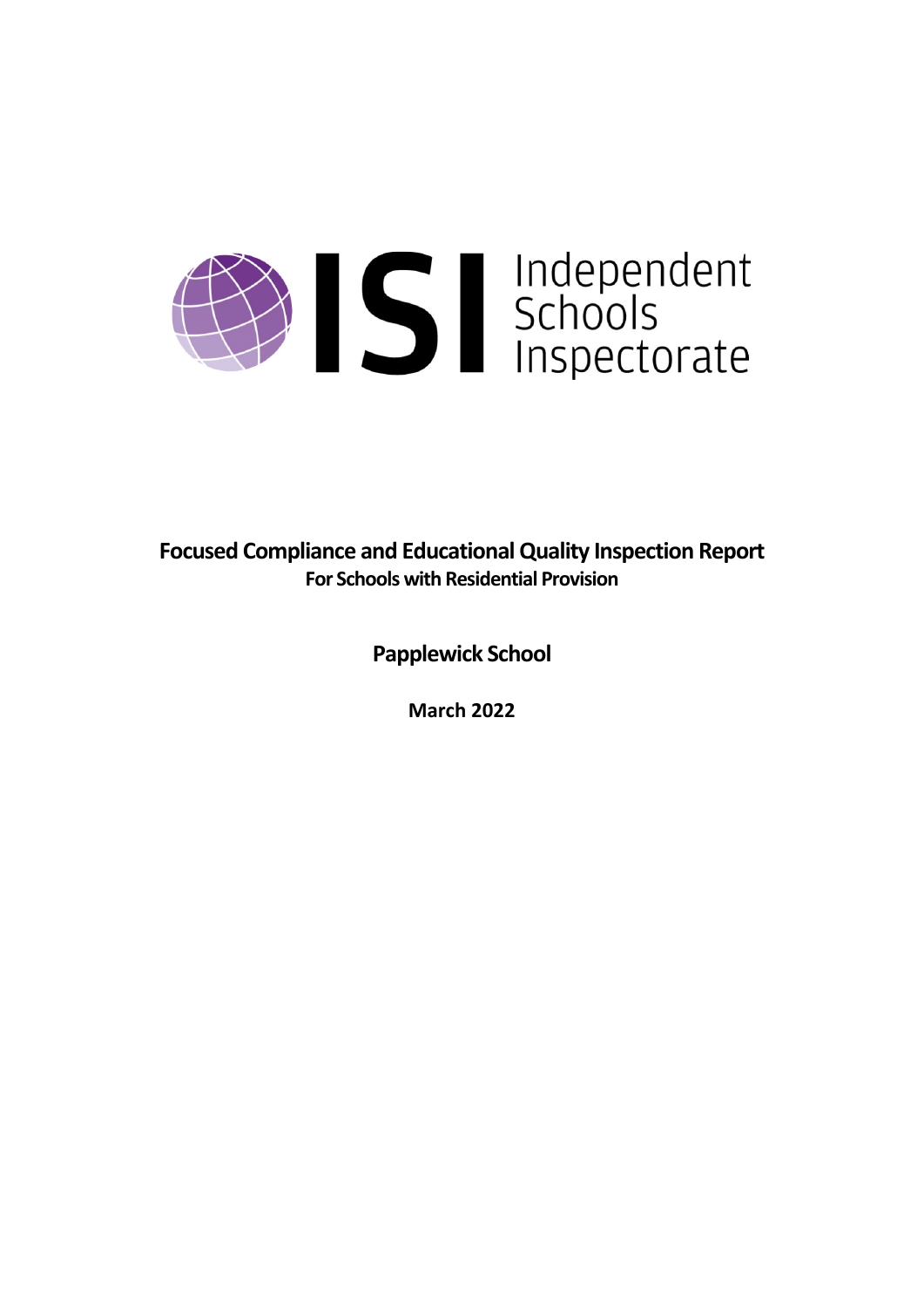

**Focused Compliance and EducationalQuality Inspection Report For Schools with Residential Provision**

**Papplewick School**

**March 2022**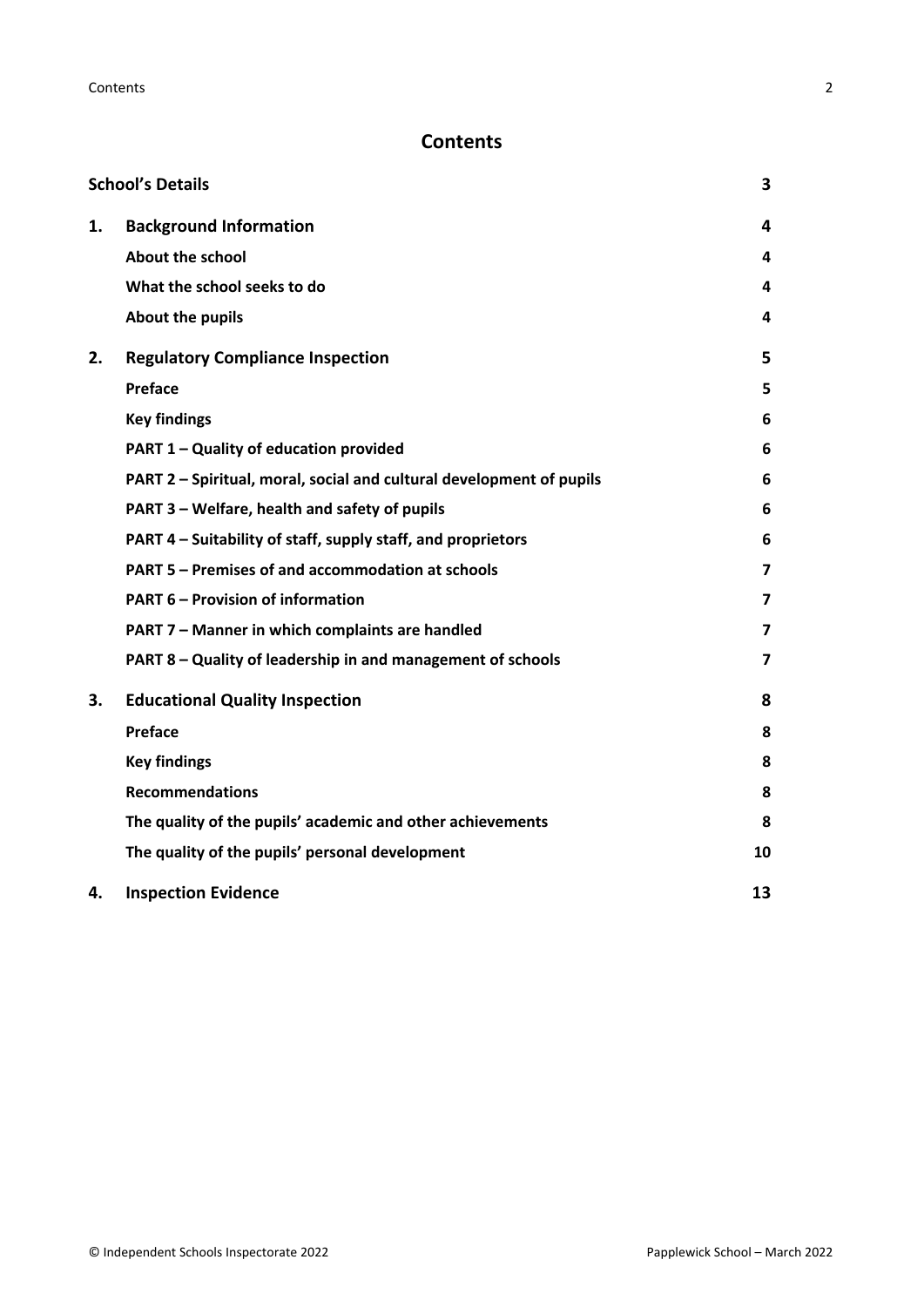# **Contents**

|    | <b>School's Details</b>                                              | 3                       |
|----|----------------------------------------------------------------------|-------------------------|
| 1. | <b>Background Information</b>                                        | 4                       |
|    | <b>About the school</b>                                              | 4                       |
|    | What the school seeks to do                                          | 4                       |
|    | About the pupils                                                     | 4                       |
| 2. | <b>Regulatory Compliance Inspection</b>                              | 5                       |
|    | Preface                                                              | 5                       |
|    | <b>Key findings</b>                                                  | 6                       |
|    | PART 1 - Quality of education provided                               | 6                       |
|    | PART 2 - Spiritual, moral, social and cultural development of pupils | 6                       |
|    | PART 3 - Welfare, health and safety of pupils                        | 6                       |
|    | PART 4 – Suitability of staff, supply staff, and proprietors         | 6                       |
|    | PART 5 - Premises of and accommodation at schools                    | 7                       |
|    | <b>PART 6 - Provision of information</b>                             | 7                       |
|    | PART 7 - Manner in which complaints are handled                      | 7                       |
|    | PART 8 - Quality of leadership in and management of schools          | $\overline{\mathbf{z}}$ |
| 3. | <b>Educational Quality Inspection</b>                                | 8                       |
|    | Preface                                                              | 8                       |
|    | <b>Key findings</b>                                                  | 8                       |
|    | <b>Recommendations</b>                                               | 8                       |
|    | The quality of the pupils' academic and other achievements           | 8                       |
|    | The quality of the pupils' personal development                      | 10                      |
| 4. | <b>Inspection Evidence</b>                                           | 13                      |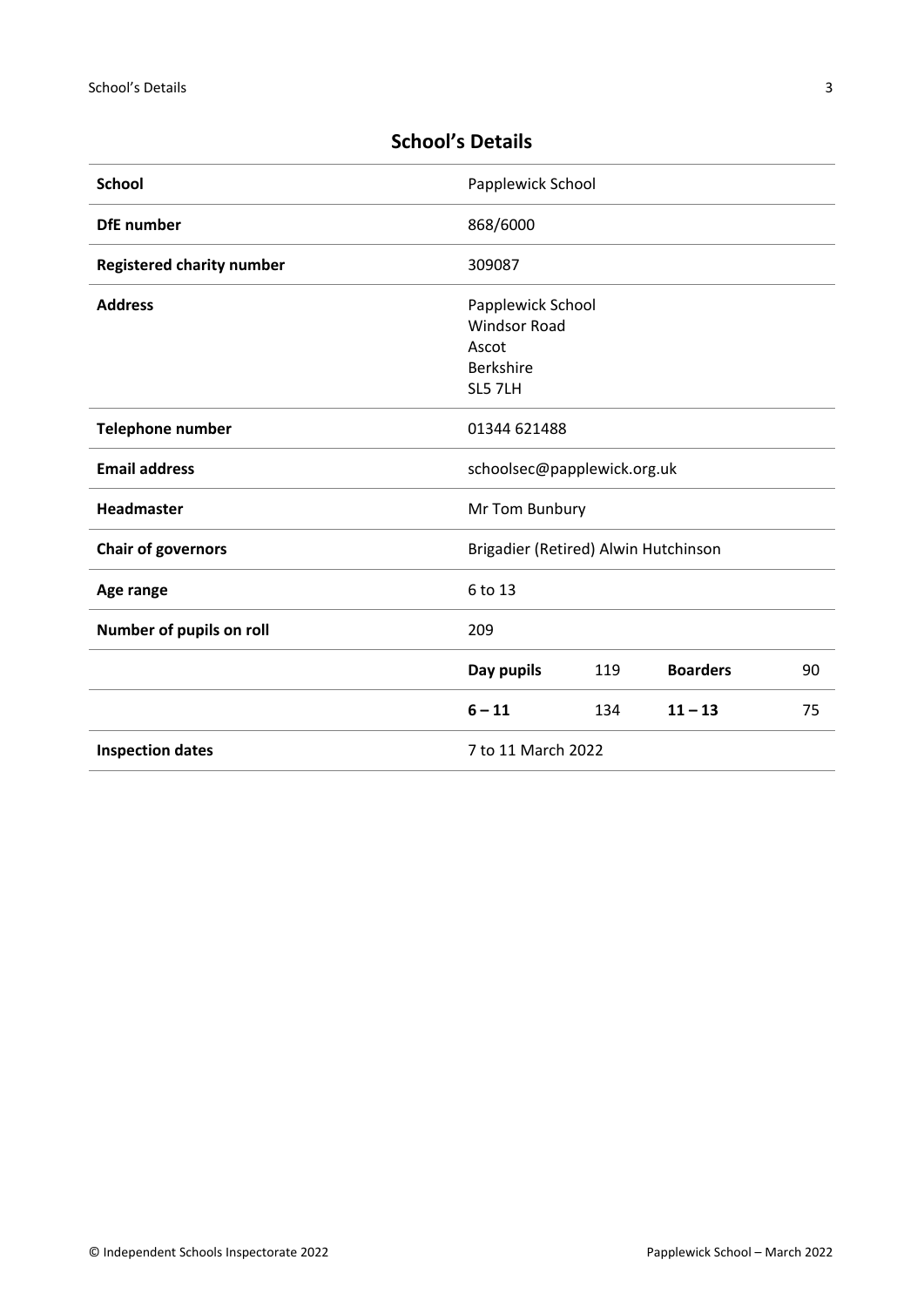| <b>School</b>                       | Papplewick School                    |     |                 |    |
|-------------------------------------|--------------------------------------|-----|-----------------|----|
| <b>DfE</b> number                   | 868/6000                             |     |                 |    |
| <b>Registered charity number</b>    | 309087                               |     |                 |    |
| <b>Address</b>                      | Papplewick School                    |     |                 |    |
|                                     | <b>Windsor Road</b>                  |     |                 |    |
|                                     | Ascot                                |     |                 |    |
|                                     | Berkshire                            |     |                 |    |
|                                     | SL5 7LH                              |     |                 |    |
| Telephone number                    | 01344 621488                         |     |                 |    |
| <b>Email address</b>                | schoolsec@papplewick.org.uk          |     |                 |    |
| <b>Headmaster</b><br>Mr Tom Bunbury |                                      |     |                 |    |
| <b>Chair of governors</b>           | Brigadier (Retired) Alwin Hutchinson |     |                 |    |
| Age range                           | 6 to 13                              |     |                 |    |
| Number of pupils on roll            | 209                                  |     |                 |    |
|                                     | Day pupils                           | 119 | <b>Boarders</b> | 90 |
|                                     | $6 - 11$                             | 134 | $11 - 13$       | 75 |
| <b>Inspection dates</b>             | 7 to 11 March 2022                   |     |                 |    |

# <span id="page-2-0"></span>**School's Details**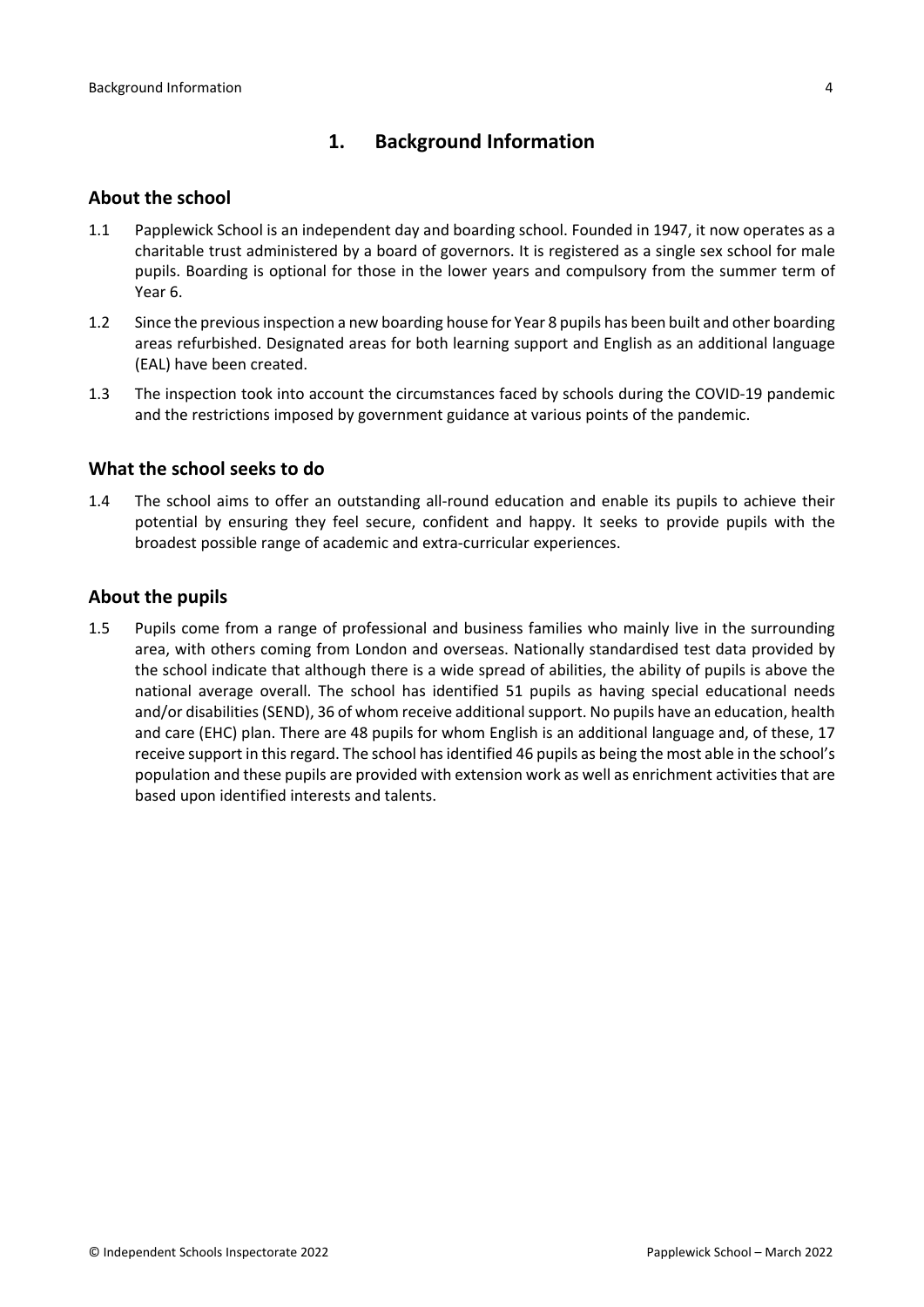# <span id="page-3-0"></span>**1. Background Information**

#### <span id="page-3-1"></span>**About the school**

- 1.1 Papplewick School is an independent day and boarding school. Founded in 1947, it now operates as a charitable trust administered by a board of governors. It is registered as a single sex school for male pupils. Boarding is optional for those in the lower years and compulsory from the summer term of Year 6.
- 1.2 Since the previous inspection a new boarding house for Year 8 pupils has been built and other boarding areas refurbished. Designated areas for both learning support and English as an additional language (EAL) have been created.
- 1.3 The inspection took into account the circumstances faced by schools during the COVID-19 pandemic and the restrictions imposed by government guidance at various points of the pandemic.

#### <span id="page-3-2"></span>**What the school seeks to do**

1.4 The school aims to offer an outstanding all-round education and enable its pupils to achieve their potential by ensuring they feel secure, confident and happy. It seeks to provide pupils with the broadest possible range of academic and extra-curricular experiences.

#### <span id="page-3-3"></span>**About the pupils**

1.5 Pupils come from a range of professional and business families who mainly live in the surrounding area, with others coming from London and overseas. Nationally standardised test data provided by the school indicate that although there is a wide spread of abilities, the ability of pupils is above the national average overall. The school has identified 51 pupils as having special educational needs and/or disabilities (SEND), 36 of whom receive additional support. No pupils have an education, health and care (EHC) plan. There are 48 pupils for whom English is an additional language and, of these, 17 receive support in this regard. The school has identified 46 pupils as being the most able in the school's population and these pupils are provided with extension work as well as enrichment activities that are based upon identified interests and talents.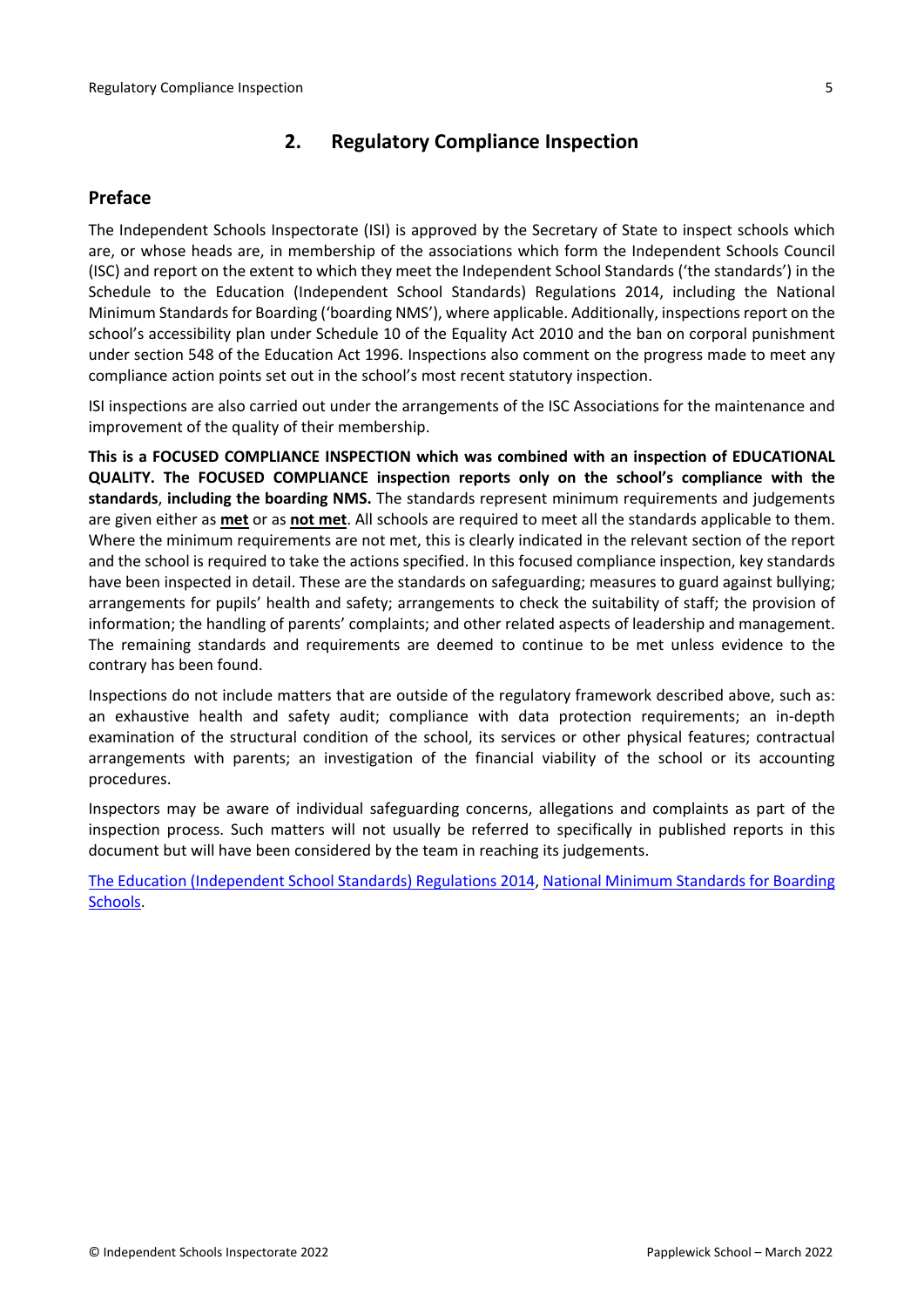# <span id="page-4-0"></span>**2. Regulatory Compliance Inspection**

### <span id="page-4-1"></span>**Preface**

The Independent Schools Inspectorate (ISI) is approved by the Secretary of State to inspect schools which are, or whose heads are, in membership of the associations which form the Independent Schools Council (ISC) and report on the extent to which they meet the Independent School Standards ('the standards') in the Schedule to the Education (Independent School Standards) Regulations 2014, including the National Minimum Standards for Boarding ('boarding NMS'), where applicable. Additionally, inspections report on the school's accessibility plan under Schedule 10 of the Equality Act 2010 and the ban on corporal punishment under section 548 of the Education Act 1996. Inspections also comment on the progress made to meet any compliance action points set out in the school's most recent statutory inspection.

ISI inspections are also carried out under the arrangements of the ISC Associations for the maintenance and improvement of the quality of their membership.

**This is a FOCUSED COMPLIANCE INSPECTION which was combined with an inspection of EDUCATIONAL QUALITY. The FOCUSED COMPLIANCE inspection reports only on the school's compliance with the standards**, **including the boarding NMS.** The standards represent minimum requirements and judgements are given either as **met** or as **not met**. All schools are required to meet all the standards applicable to them. Where the minimum requirements are not met, this is clearly indicated in the relevant section of the report and the school is required to take the actions specified. In this focused compliance inspection, key standards have been inspected in detail. These are the standards on safeguarding; measures to guard against bullying; arrangements for pupils' health and safety; arrangements to check the suitability of staff; the provision of information; the handling of parents' complaints; and other related aspects of leadership and management. The remaining standards and requirements are deemed to continue to be met unless evidence to the contrary has been found.

Inspections do not include matters that are outside of the regulatory framework described above, such as: an exhaustive health and safety audit; compliance with data protection requirements; an in-depth examination of the structural condition of the school, its services or other physical features; contractual arrangements with parents; an investigation of the financial viability of the school or its accounting procedures.

Inspectors may be aware of individual safeguarding concerns, allegations and complaints as part of the inspection process. Such matters will not usually be referred to specifically in published reports in this document but will have been considered by the team in reaching its judgements.

The Education [\(Independent](http://www.legislation.gov.uk/uksi/2014/3283/contents/made) School Standards) Regulations 2014, National Minimum [Standards](https://www.gov.uk/government/uploads/system/uploads/attachment_data/file/416186/20150319_nms_bs_standards.pdf) for Boarding [Schools.](https://www.gov.uk/government/uploads/system/uploads/attachment_data/file/416186/20150319_nms_bs_standards.pdf)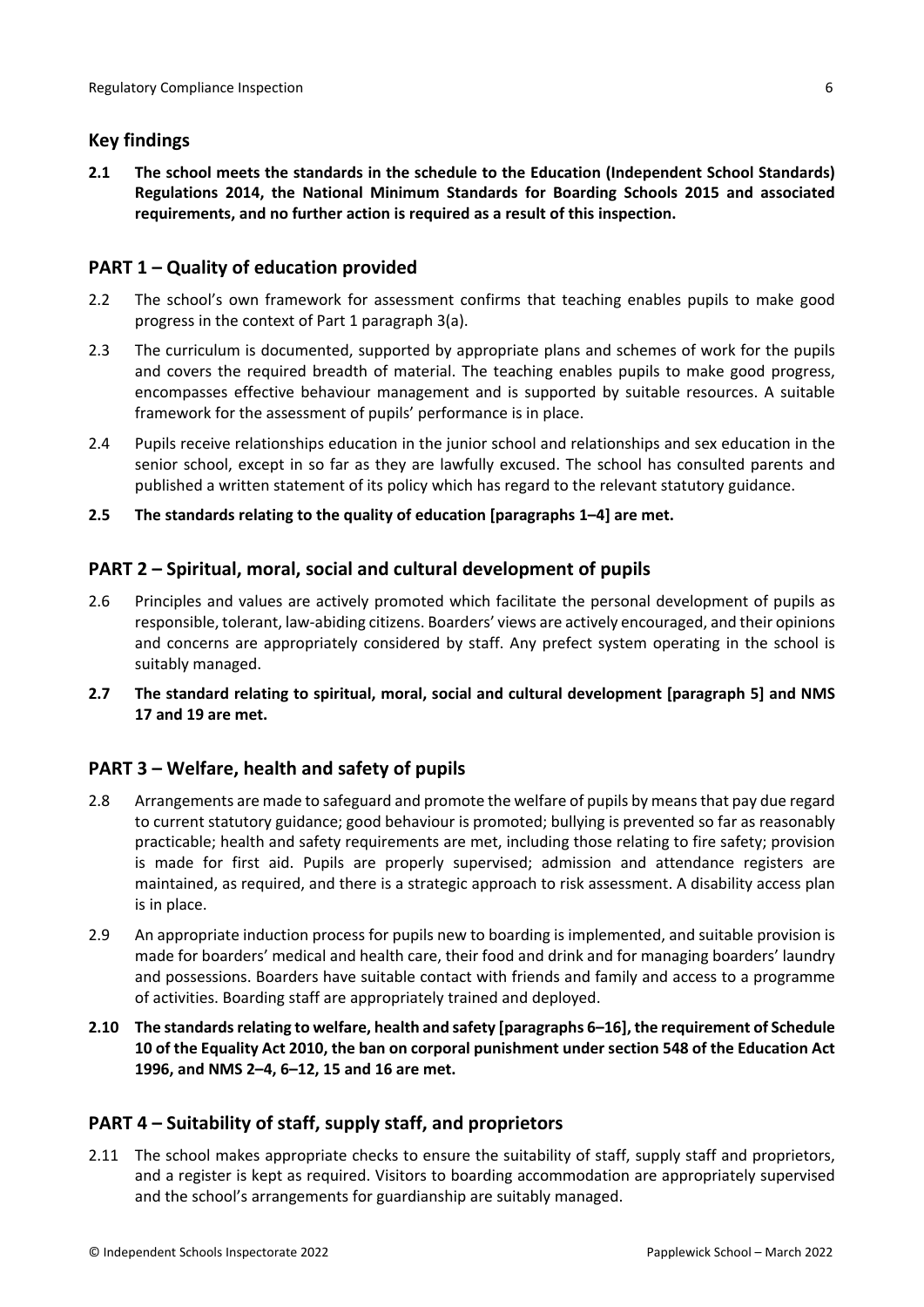## <span id="page-5-0"></span>**Key findings**

**2.1 The school meets the standards in the schedule to the Education (Independent School Standards) Regulations 2014, the National Minimum Standards for Boarding Schools 2015 and associated requirements, and no further action is required as a result of this inspection.**

## <span id="page-5-1"></span>**PART 1 – Quality of education provided**

- 2.2 The school's own framework for assessment confirms that teaching enables pupils to make good progress in the context of Part 1 paragraph 3(a).
- 2.3 The curriculum is documented, supported by appropriate plans and schemes of work for the pupils and covers the required breadth of material. The teaching enables pupils to make good progress, encompasses effective behaviour management and is supported by suitable resources. A suitable framework for the assessment of pupils' performance is in place.
- 2.4 Pupils receive relationships education in the junior school and relationships and sex education in the senior school, except in so far as they are lawfully excused. The school has consulted parents and published a written statement of its policy which has regard to the relevant statutory guidance.
- **2.5 The standards relating to the quality of education [paragraphs 1–4] are met.**

## <span id="page-5-2"></span>**PART 2 – Spiritual, moral, social and cultural development of pupils**

- 2.6 Principles and values are actively promoted which facilitate the personal development of pupils as responsible, tolerant, law-abiding citizens. Boarders' views are actively encouraged, and their opinions and concerns are appropriately considered by staff. Any prefect system operating in the school is suitably managed.
- **2.7 The standard relating to spiritual, moral, social and cultural development [paragraph 5] and NMS 17 and 19 are met.**

# <span id="page-5-3"></span>**PART 3 – Welfare, health and safety of pupils**

- 2.8 Arrangements are made to safeguard and promote the welfare of pupils by meansthat pay due regard to current statutory guidance; good behaviour is promoted; bullying is prevented so far as reasonably practicable; health and safety requirements are met, including those relating to fire safety; provision is made for first aid. Pupils are properly supervised; admission and attendance registers are maintained, as required, and there is a strategic approach to risk assessment. A disability access plan is in place.
- 2.9 An appropriate induction process for pupils new to boarding is implemented, and suitable provision is made for boarders' medical and health care, their food and drink and for managing boarders' laundry and possessions. Boarders have suitable contact with friends and family and access to a programme of activities. Boarding staff are appropriately trained and deployed.
- **2.10 The standardsrelating to welfare, health and safety [paragraphs 6–16], the requirement of Schedule 10 of the Equality Act 2010, the ban on corporal punishment under section 548 of the Education Act 1996, and NMS 2–4, 6–12, 15 and 16 are met.**

### <span id="page-5-4"></span>**PART 4 – Suitability of staff, supply staff, and proprietors**

2.11 The school makes appropriate checks to ensure the suitability of staff, supply staff and proprietors, and a register is kept as required. Visitors to boarding accommodation are appropriately supervised and the school's arrangements for guardianship are suitably managed.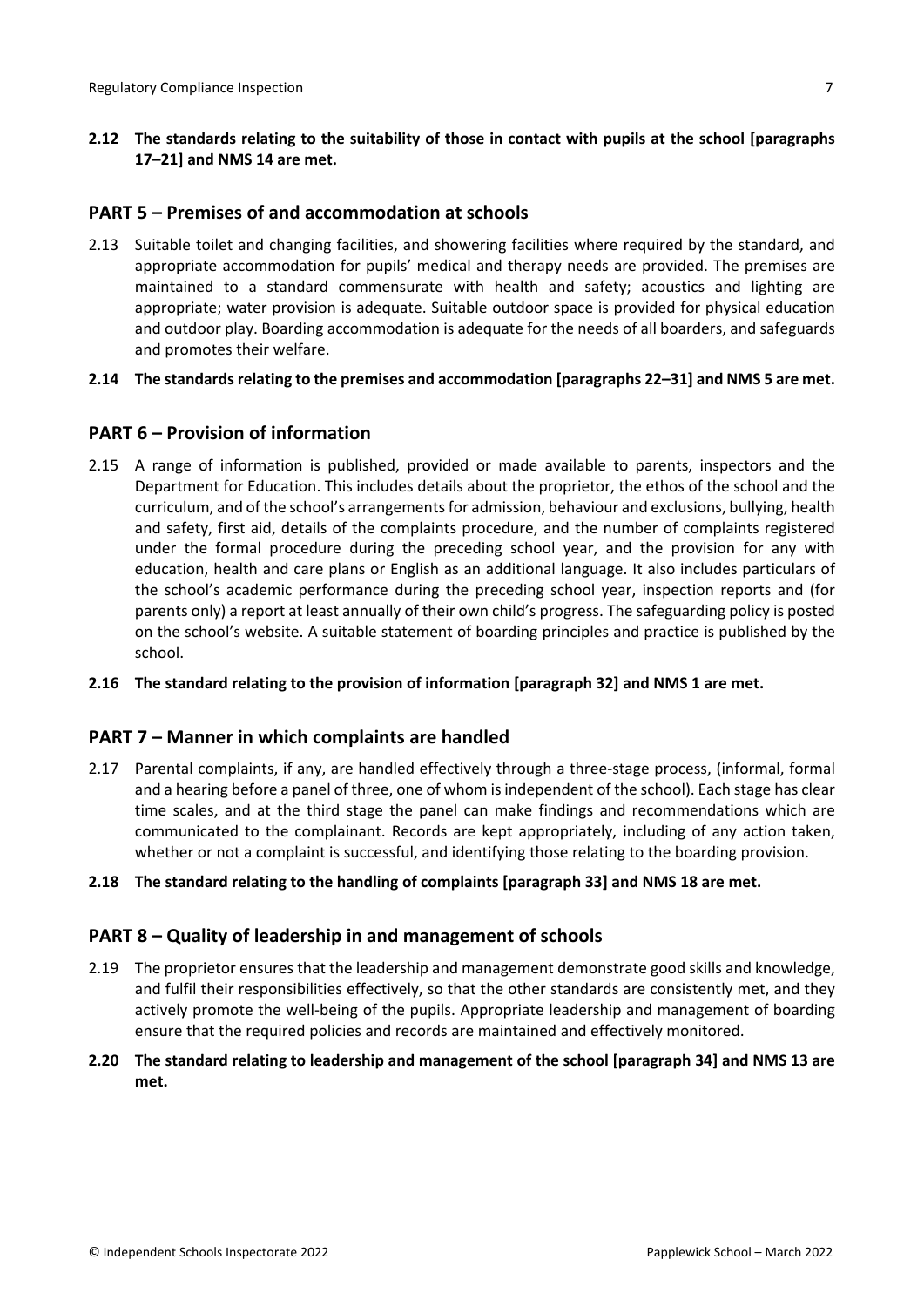**2.12 The standards relating to the suitability of those in contact with pupils at the school [paragraphs 17–21] and NMS 14 are met.**

# <span id="page-6-0"></span>**PART 5 – Premises of and accommodation at schools**

- 2.13 Suitable toilet and changing facilities, and showering facilities where required by the standard, and appropriate accommodation for pupils' medical and therapy needs are provided. The premises are maintained to a standard commensurate with health and safety; acoustics and lighting are appropriate; water provision is adequate. Suitable outdoor space is provided for physical education and outdoor play. Boarding accommodation is adequate for the needs of all boarders, and safeguards and promotes their welfare.
- **2.14 The standardsrelating to the premises and accommodation [paragraphs 22–31] and NMS 5 are met.**

# <span id="page-6-1"></span>**PART 6 – Provision of information**

- 2.15 A range of information is published, provided or made available to parents, inspectors and the Department for Education. This includes details about the proprietor, the ethos of the school and the curriculum, and of the school's arrangements for admission, behaviour and exclusions, bullying, health and safety, first aid, details of the complaints procedure, and the number of complaints registered under the formal procedure during the preceding school year, and the provision for any with education, health and care plans or English as an additional language. It also includes particulars of the school's academic performance during the preceding school year, inspection reports and (for parents only) a report at least annually of their own child's progress. The safeguarding policy is posted on the school's website. A suitable statement of boarding principles and practice is published by the school.
- **2.16 The standard relating to the provision of information [paragraph 32] and NMS 1 are met.**

### <span id="page-6-2"></span>**PART 7 – Manner in which complaints are handled**

- 2.17 Parental complaints, if any, are handled effectively through a three-stage process, (informal, formal and a hearing before a panel of three, one of whom is independent of the school). Each stage has clear time scales, and at the third stage the panel can make findings and recommendations which are communicated to the complainant. Records are kept appropriately, including of any action taken, whether or not a complaint is successful, and identifying those relating to the boarding provision.
- **2.18 The standard relating to the handling of complaints [paragraph 33] and NMS 18 are met.**

# <span id="page-6-3"></span>**PART 8 – Quality of leadership in and management of schools**

- 2.19 The proprietor ensures that the leadership and management demonstrate good skills and knowledge, and fulfil their responsibilities effectively, so that the other standards are consistently met, and they actively promote the well-being of the pupils. Appropriate leadership and management of boarding ensure that the required policies and records are maintained and effectively monitored.
- **2.20 The standard relating to leadership and management of the school [paragraph 34] and NMS 13 are met.**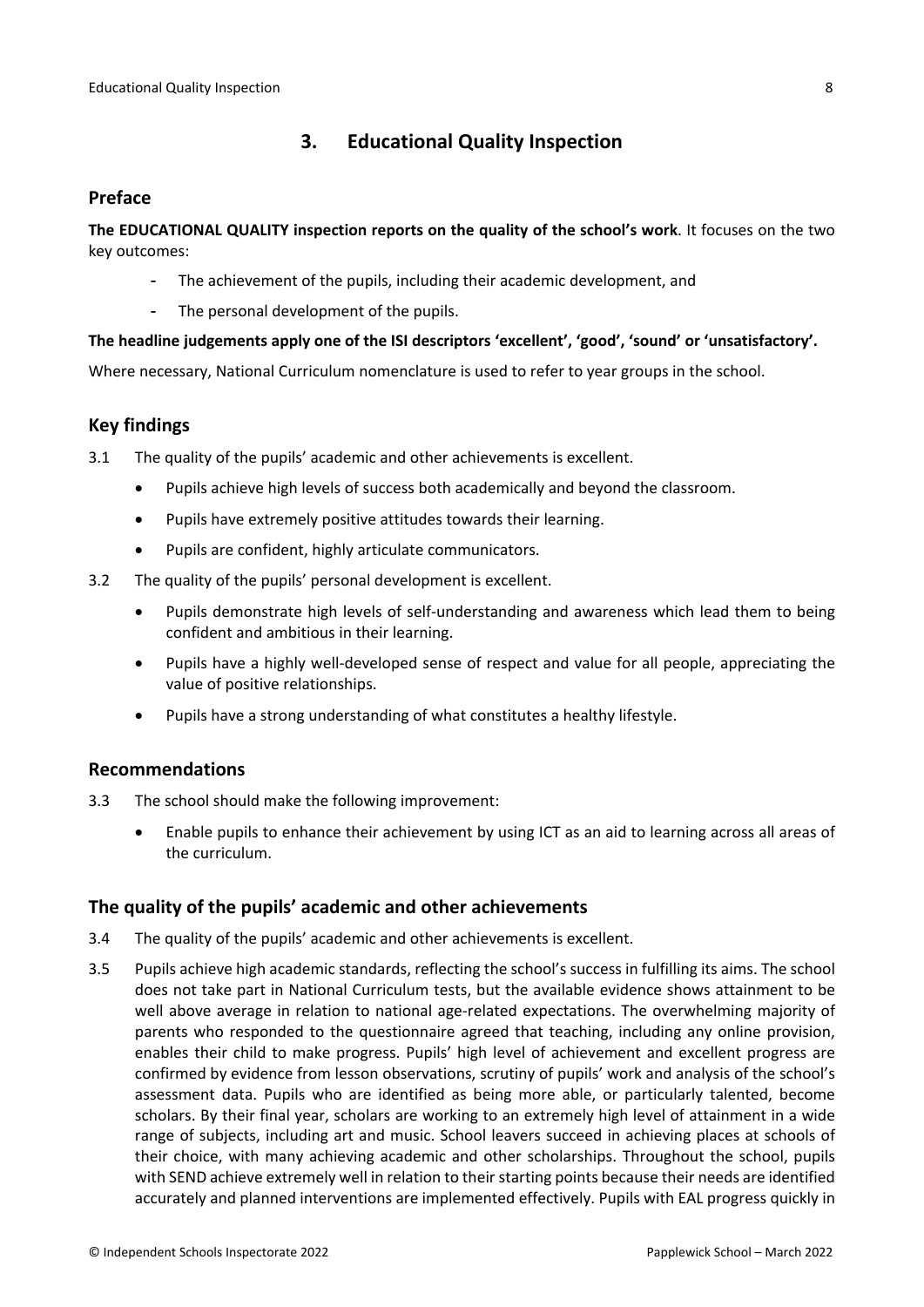# <span id="page-7-0"></span>**3. Educational Quality Inspection**

#### <span id="page-7-1"></span>**Preface**

**The EDUCATIONAL QUALITY inspection reports on the quality of the school's work**. It focuses on the two key outcomes:

- The achievement of the pupils, including their academic development, and
- The personal development of the pupils.

#### **The headline judgements apply one of the ISI descriptors 'excellent', 'good', 'sound' or 'unsatisfactory'.**

Where necessary, National Curriculum nomenclature is used to refer to year groups in the school.

## <span id="page-7-2"></span>**Key findings**

3.1 The quality of the pupils' academic and other achievements is excellent.

- Pupils achieve high levels of success both academically and beyond the classroom.
- Pupils have extremely positive attitudes towards their learning.
- Pupils are confident, highly articulate communicators.
- 3.2 The quality of the pupils' personal development is excellent.
	- Pupils demonstrate high levels of self-understanding and awareness which lead them to being confident and ambitious in their learning.
	- Pupils have a highly well-developed sense of respect and value for all people, appreciating the value of positive relationships.
	- Pupils have a strong understanding of what constitutes a healthy lifestyle.

### <span id="page-7-3"></span>**Recommendations**

- 3.3 The school should make the following improvement:
	- Enable pupils to enhance their achievement by using ICT as an aid to learning across all areas of the curriculum.

### <span id="page-7-4"></span>**The quality of the pupils' academic and other achievements**

- 3.4 The quality of the pupils' academic and other achievements is excellent.
- 3.5 Pupils achieve high academic standards, reflecting the school's success in fulfilling its aims. The school does not take part in National Curriculum tests, but the available evidence shows attainment to be well above average in relation to national age-related expectations. The overwhelming majority of parents who responded to the questionnaire agreed that teaching, including any online provision, enables their child to make progress. Pupils' high level of achievement and excellent progress are confirmed by evidence from lesson observations, scrutiny of pupils' work and analysis of the school's assessment data. Pupils who are identified as being more able, or particularly talented, become scholars. By their final year, scholars are working to an extremely high level of attainment in a wide range of subjects, including art and music. School leavers succeed in achieving places at schools of their choice, with many achieving academic and other scholarships. Throughout the school, pupils with SEND achieve extremely well in relation to their starting points because their needs are identified accurately and planned interventions are implemented effectively. Pupils with EAL progress quickly in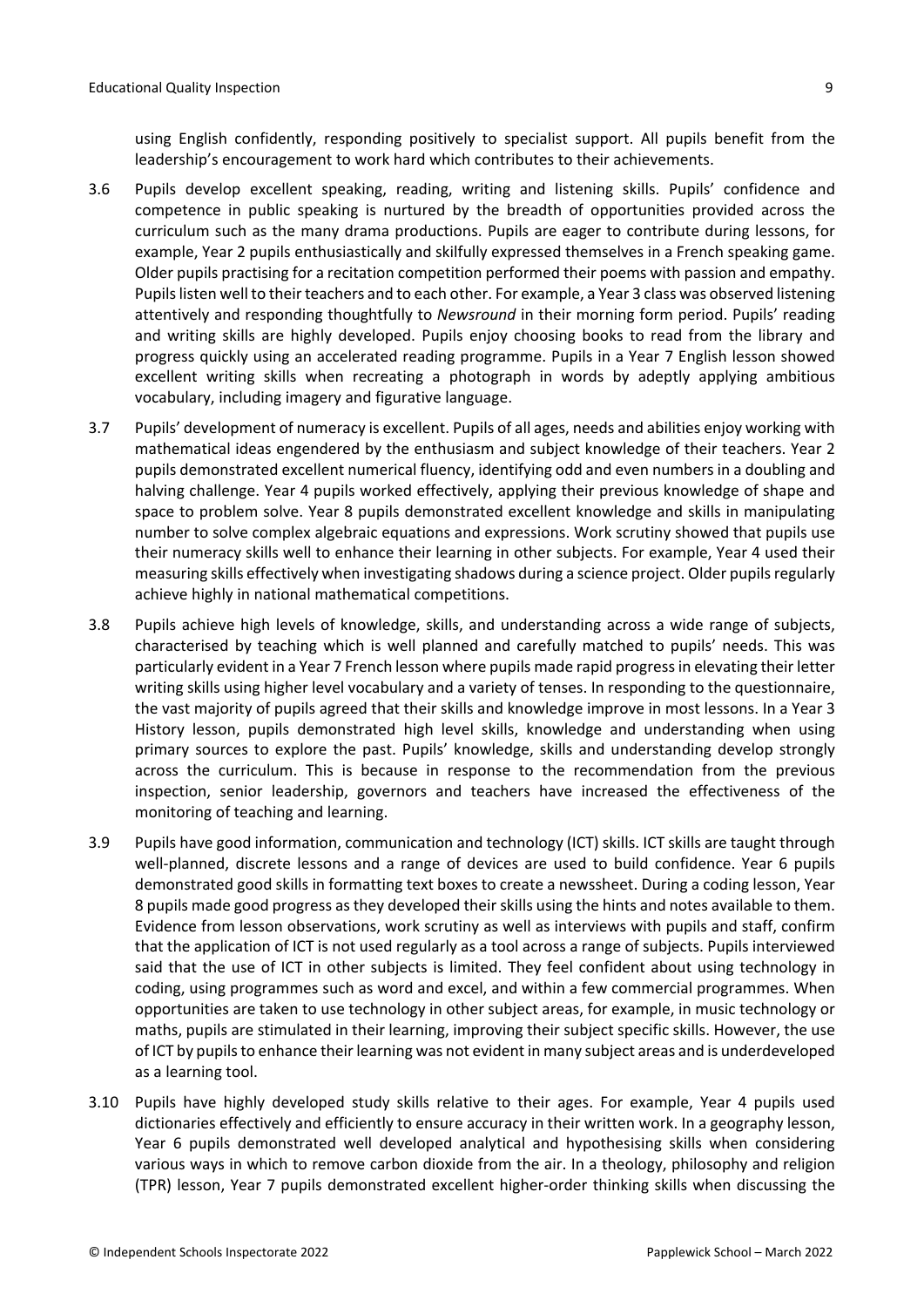using English confidently, responding positively to specialist support. All pupils benefit from the leadership's encouragement to work hard which contributes to their achievements.

- 3.6 Pupils develop excellent speaking, reading, writing and listening skills. Pupils' confidence and competence in public speaking is nurtured by the breadth of opportunities provided across the curriculum such as the many drama productions. Pupils are eager to contribute during lessons, for example, Year 2 pupils enthusiastically and skilfully expressed themselves in a French speaking game. Older pupils practising for a recitation competition performed their poems with passion and empathy. Pupils listen well to their teachers and to each other. For example, a Year 3 class was observed listening attentively and responding thoughtfully to *Newsround* in their morning form period. Pupils' reading and writing skills are highly developed. Pupils enjoy choosing books to read from the library and progress quickly using an accelerated reading programme. Pupils in a Year 7 English lesson showed excellent writing skills when recreating a photograph in words by adeptly applying ambitious vocabulary, including imagery and figurative language.
- 3.7 Pupils' development of numeracy is excellent. Pupils of all ages, needs and abilities enjoy working with mathematical ideas engendered by the enthusiasm and subject knowledge of their teachers. Year 2 pupils demonstrated excellent numerical fluency, identifying odd and even numbers in a doubling and halving challenge. Year 4 pupils worked effectively, applying their previous knowledge of shape and space to problem solve. Year 8 pupils demonstrated excellent knowledge and skills in manipulating number to solve complex algebraic equations and expressions. Work scrutiny showed that pupils use their numeracy skills well to enhance their learning in other subjects. For example, Year 4 used their measuring skills effectively when investigating shadows during a science project. Older pupils regularly achieve highly in national mathematical competitions.
- 3.8 Pupils achieve high levels of knowledge, skills, and understanding across a wide range of subjects, characterised by teaching which is well planned and carefully matched to pupils' needs. This was particularly evident in a Year 7 French lesson where pupils made rapid progressin elevating their letter writing skills using higher level vocabulary and a variety of tenses. In responding to the questionnaire, the vast majority of pupils agreed that their skills and knowledge improve in most lessons. In a Year 3 History lesson, pupils demonstrated high level skills, knowledge and understanding when using primary sources to explore the past. Pupils' knowledge, skills and understanding develop strongly across the curriculum. This is because in response to the recommendation from the previous inspection, senior leadership, governors and teachers have increased the effectiveness of the monitoring of teaching and learning.
- 3.9 Pupils have good information, communication and technology (ICT) skills. ICT skills are taught through well-planned, discrete lessons and a range of devices are used to build confidence. Year 6 pupils demonstrated good skills in formatting text boxes to create a newssheet. During a coding lesson, Year 8 pupils made good progress as they developed their skills using the hints and notes available to them. Evidence from lesson observations, work scrutiny as well as interviews with pupils and staff, confirm that the application of ICT is not used regularly as a tool across a range of subjects. Pupils interviewed said that the use of ICT in other subjects is limited. They feel confident about using technology in coding, using programmes such as word and excel, and within a few commercial programmes. When opportunities are taken to use technology in other subject areas, for example, in music technology or maths, pupils are stimulated in their learning, improving their subject specific skills. However, the use of ICT by pupilsto enhance their learning was not evident in many subject areas and is underdeveloped as a learning tool.
- 3.10 Pupils have highly developed study skills relative to their ages. For example, Year 4 pupils used dictionaries effectively and efficiently to ensure accuracy in their written work. In a geography lesson, Year 6 pupils demonstrated well developed analytical and hypothesising skills when considering various ways in which to remove carbon dioxide from the air. In a theology, philosophy and religion (TPR) lesson, Year 7 pupils demonstrated excellent higher-order thinking skills when discussing the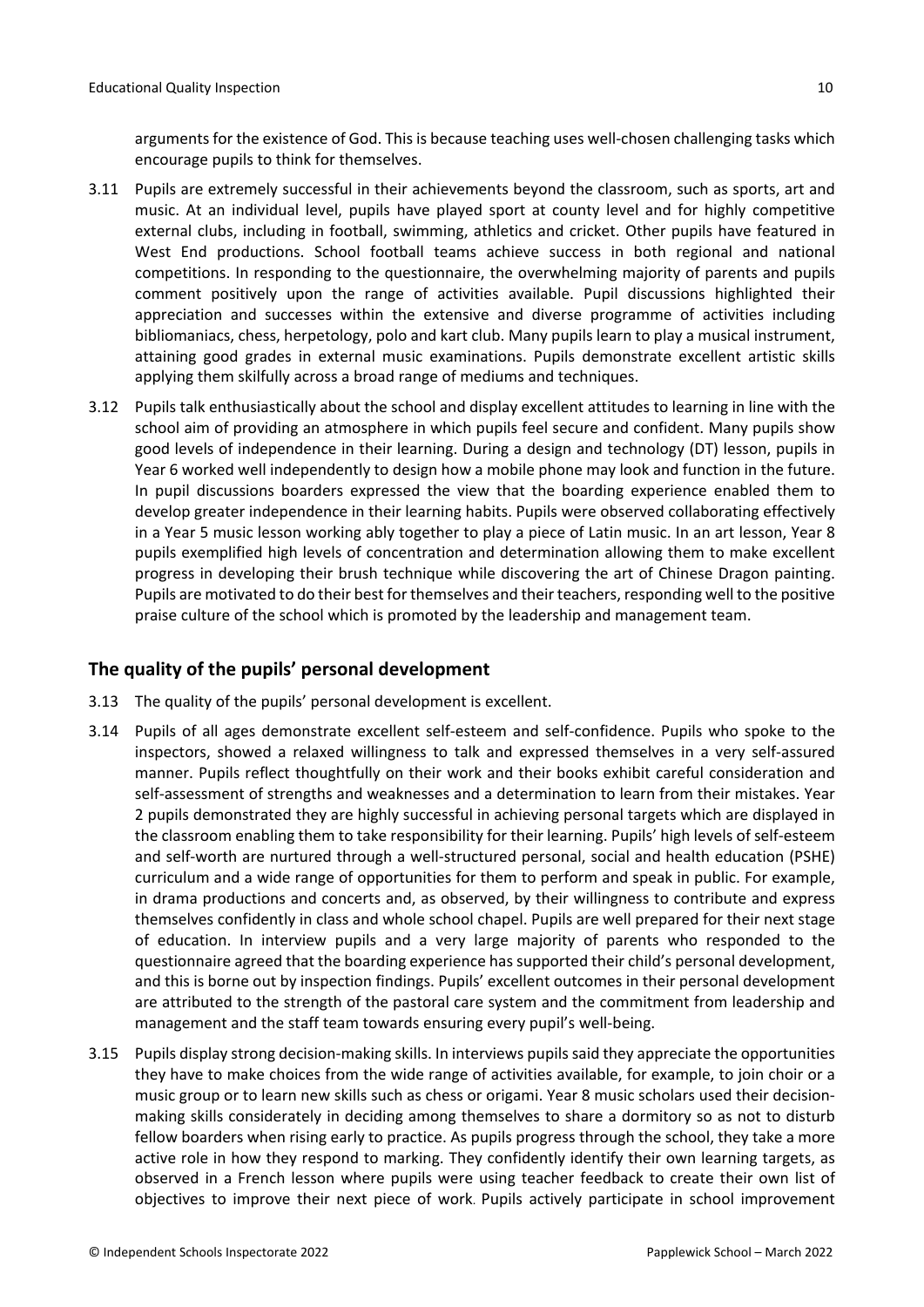arguments for the existence of God. This is because teaching uses well-chosen challenging tasks which encourage pupils to think for themselves.

- 3.11 Pupils are extremely successful in their achievements beyond the classroom, such as sports, art and music. At an individual level, pupils have played sport at county level and for highly competitive external clubs, including in football, swimming, athletics and cricket. Other pupils have featured in West End productions. School football teams achieve success in both regional and national competitions. In responding to the questionnaire, the overwhelming majority of parents and pupils comment positively upon the range of activities available. Pupil discussions highlighted their appreciation and successes within the extensive and diverse programme of activities including bibliomaniacs, chess, herpetology, polo and kart club. Many pupils learn to play a musical instrument, attaining good grades in external music examinations. Pupils demonstrate excellent artistic skills applying them skilfully across a broad range of mediums and techniques.
- 3.12 Pupils talk enthusiastically about the school and display excellent attitudes to learning in line with the school aim of providing an atmosphere in which pupils feel secure and confident. Many pupils show good levels of independence in their learning. During a design and technology (DT) lesson, pupils in Year 6 worked well independently to design how a mobile phone may look and function in the future. In pupil discussions boarders expressed the view that the boarding experience enabled them to develop greater independence in their learning habits. Pupils were observed collaborating effectively in a Year 5 music lesson working ably together to play a piece of Latin music. In an art lesson, Year 8 pupils exemplified high levels of concentration and determination allowing them to make excellent progress in developing their brush technique while discovering the art of Chinese Dragon painting. Pupils are motivated to do their best for themselves and their teachers, responding well to the positive praise culture of the school which is promoted by the leadership and management team.

### <span id="page-9-0"></span>**The quality of the pupils' personal development**

- 3.13 The quality of the pupils' personal development is excellent.
- 3.14 Pupils of all ages demonstrate excellent self-esteem and self-confidence. Pupils who spoke to the inspectors, showed a relaxed willingness to talk and expressed themselves in a very self-assured manner. Pupils reflect thoughtfully on their work and their books exhibit careful consideration and self-assessment of strengths and weaknesses and a determination to learn from their mistakes. Year 2 pupils demonstrated they are highly successful in achieving personal targets which are displayed in the classroom enabling them to take responsibility for their learning. Pupils' high levels of self-esteem and self-worth are nurtured through a well-structured personal, social and health education (PSHE) curriculum and a wide range of opportunities for them to perform and speak in public. For example, in drama productions and concerts and, as observed, by their willingness to contribute and express themselves confidently in class and whole school chapel. Pupils are well prepared for their next stage of education. In interview pupils and a very large majority of parents who responded to the questionnaire agreed that the boarding experience has supported their child's personal development, and this is borne out by inspection findings. Pupils' excellent outcomes in their personal development are attributed to the strength of the pastoral care system and the commitment from leadership and management and the staff team towards ensuring every pupil's well-being.
- 3.15 Pupils display strong decision-making skills. In interviews pupilssaid they appreciate the opportunities they have to make choices from the wide range of activities available, for example, to join choir or a music group or to learn new skills such as chess or origami. Year 8 music scholars used their decisionmaking skills considerately in deciding among themselves to share a dormitory so as not to disturb fellow boarders when rising early to practice. As pupils progress through the school, they take a more active role in how they respond to marking. They confidently identify their own learning targets, as observed in a French lesson where pupils were using teacher feedback to create their own list of objectives to improve their next piece of work. Pupils actively participate in school improvement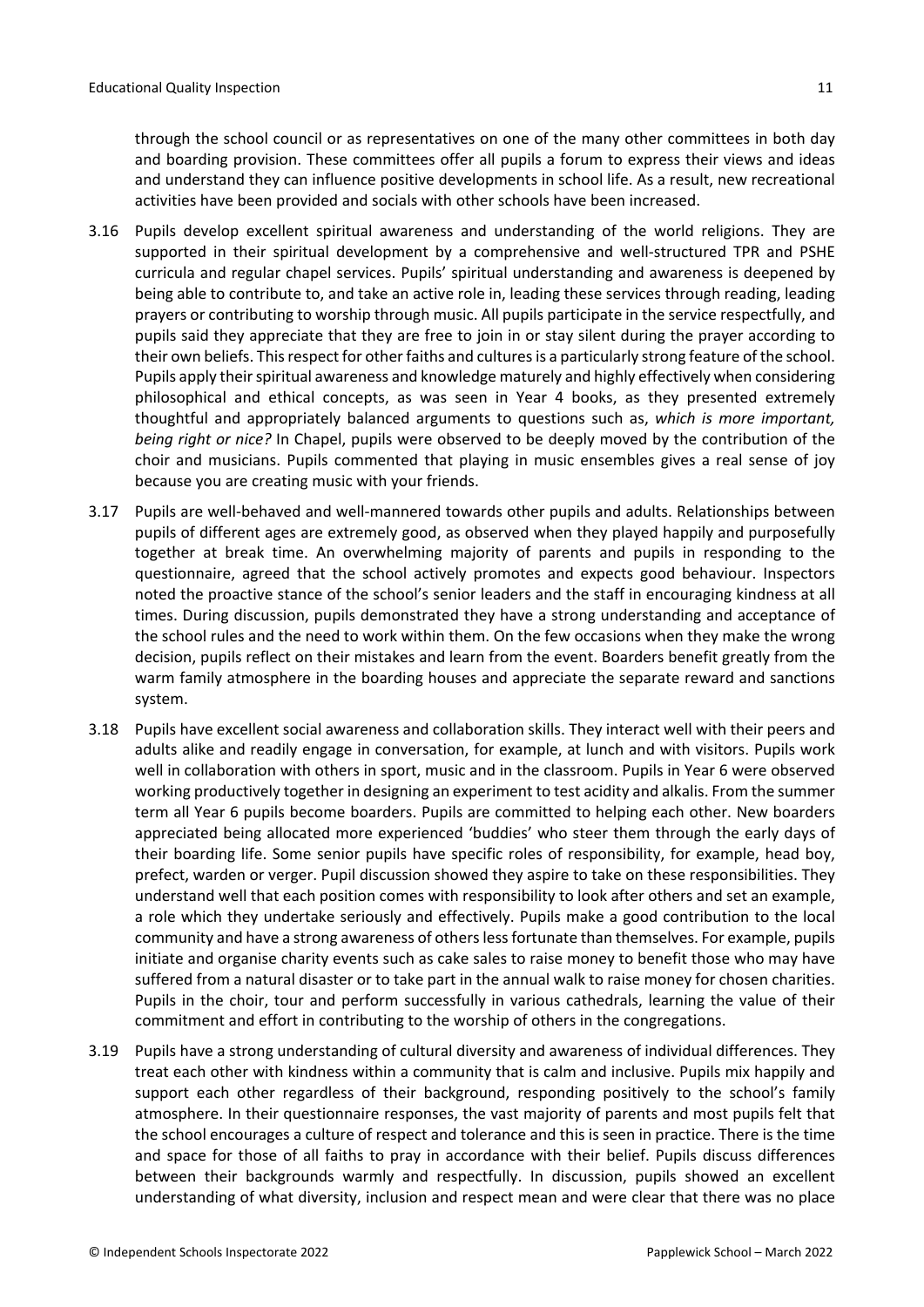through the school council or as representatives on one of the many other committees in both day and boarding provision. These committees offer all pupils a forum to express their views and ideas and understand they can influence positive developments in school life. As a result, new recreational activities have been provided and socials with other schools have been increased.

- 3.16 Pupils develop excellent spiritual awareness and understanding of the world religions. They are supported in their spiritual development by a comprehensive and well-structured TPR and PSHE curricula and regular chapel services. Pupils' spiritual understanding and awareness is deepened by being able to contribute to, and take an active role in, leading these services through reading, leading prayers or contributing to worship through music. All pupils participate in the service respectfully, and pupils said they appreciate that they are free to join in or stay silent during the prayer according to their own beliefs. This respect for other faiths and cultures is a particularly strong feature of the school. Pupils apply their spiritual awareness and knowledge maturely and highly effectively when considering philosophical and ethical concepts, as was seen in Year 4 books, as they presented extremely thoughtful and appropriately balanced arguments to questions such as, *which is more important, being right or nice?* In Chapel, pupils were observed to be deeply moved by the contribution of the choir and musicians. Pupils commented that playing in music ensembles gives a real sense of joy because you are creating music with your friends.
- 3.17 Pupils are well-behaved and well-mannered towards other pupils and adults. Relationships between pupils of different ages are extremely good, as observed when they played happily and purposefully together at break time. An overwhelming majority of parents and pupils in responding to the questionnaire, agreed that the school actively promotes and expects good behaviour. Inspectors noted the proactive stance of the school's senior leaders and the staff in encouraging kindness at all times. During discussion, pupils demonstrated they have a strong understanding and acceptance of the school rules and the need to work within them. On the few occasions when they make the wrong decision, pupils reflect on their mistakes and learn from the event. Boarders benefit greatly from the warm family atmosphere in the boarding houses and appreciate the separate reward and sanctions system.
- 3.18 Pupils have excellent social awareness and collaboration skills. They interact well with their peers and adults alike and readily engage in conversation, for example, at lunch and with visitors. Pupils work well in collaboration with others in sport, music and in the classroom. Pupils in Year 6 were observed working productively together in designing an experiment to test acidity and alkalis. From the summer term all Year 6 pupils become boarders. Pupils are committed to helping each other. New boarders appreciated being allocated more experienced 'buddies' who steer them through the early days of their boarding life. Some senior pupils have specific roles of responsibility, for example, head boy, prefect, warden or verger. Pupil discussion showed they aspire to take on these responsibilities. They understand well that each position comes with responsibility to look after others and set an example, a role which they undertake seriously and effectively. Pupils make a good contribution to the local community and have a strong awareness of others less fortunate than themselves. For example, pupils initiate and organise charity events such as cake sales to raise money to benefit those who may have suffered from a natural disaster or to take part in the annual walk to raise money for chosen charities. Pupils in the choir, tour and perform successfully in various cathedrals, learning the value of their commitment and effort in contributing to the worship of others in the congregations.
- 3.19 Pupils have a strong understanding of cultural diversity and awareness of individual differences. They treat each other with kindness within a community that is calm and inclusive. Pupils mix happily and support each other regardless of their background, responding positively to the school's family atmosphere. In their questionnaire responses, the vast majority of parents and most pupils felt that the school encourages a culture of respect and tolerance and this is seen in practice. There is the time and space for those of all faiths to pray in accordance with their belief. Pupils discuss differences between their backgrounds warmly and respectfully. In discussion, pupils showed an excellent understanding of what diversity, inclusion and respect mean and were clear that there was no place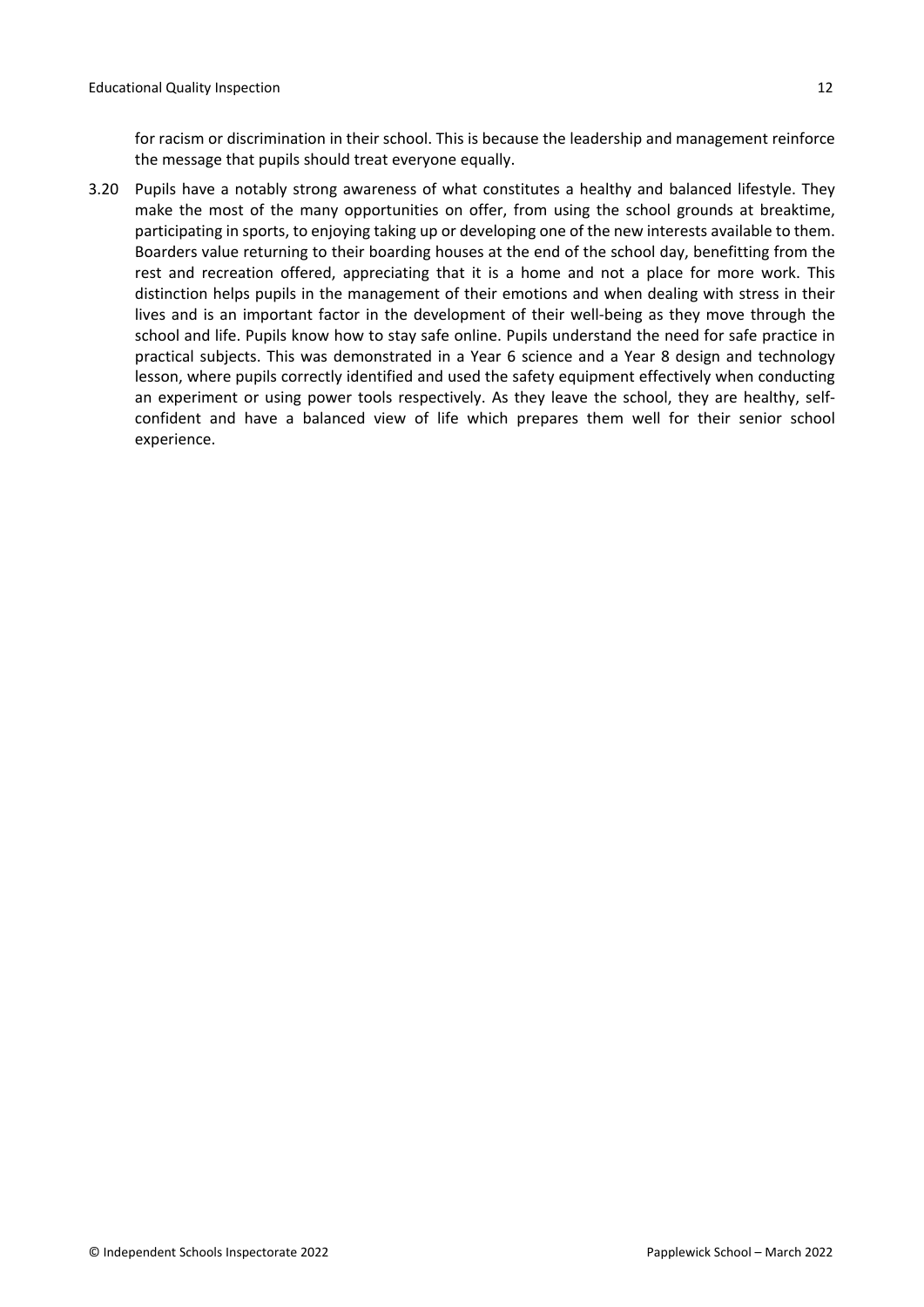for racism or discrimination in their school. This is because the leadership and management reinforce the message that pupils should treat everyone equally.

3.20 Pupils have a notably strong awareness of what constitutes a healthy and balanced lifestyle. They make the most of the many opportunities on offer, from using the school grounds at breaktime, participating in sports, to enjoying taking up or developing one of the new interests available to them. Boarders value returning to their boarding houses at the end of the school day, benefitting from the rest and recreation offered, appreciating that it is a home and not a place for more work. This distinction helps pupils in the management of their emotions and when dealing with stress in their lives and is an important factor in the development of their well-being as they move through the school and life. Pupils know how to stay safe online. Pupils understand the need for safe practice in practical subjects. This was demonstrated in a Year 6 science and a Year 8 design and technology lesson, where pupils correctly identified and used the safety equipment effectively when conducting an experiment or using power tools respectively. As they leave the school, they are healthy, selfconfident and have a balanced view of life which prepares them well for their senior school experience.